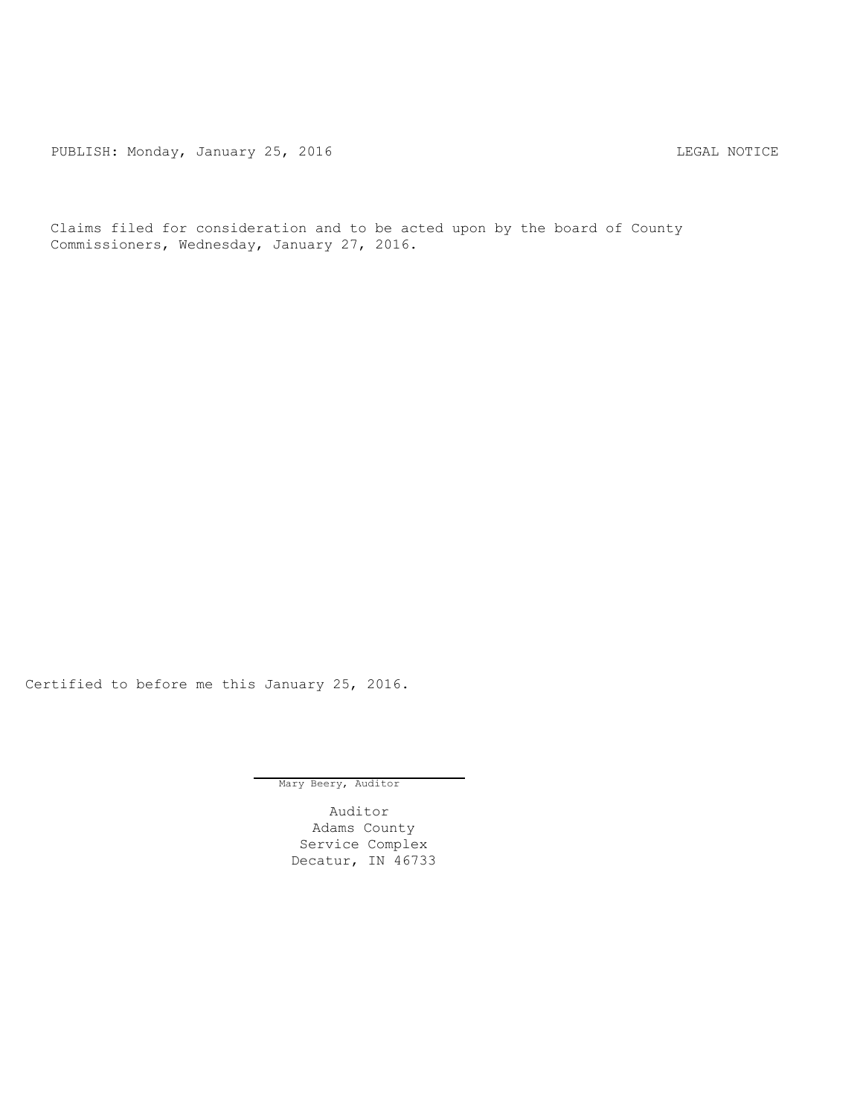PUBLISH: Monday, January 25, 2016 CHA CHANGE CONTROLLING MOTICE

Claims filed for consideration and to be acted upon by the board of County Commissioners, Wednesday, January 27, 2016.

Certified to before me this January 25, 2016.

Mary Beery, Auditor

Auditor Adams County Service Complex Decatur, IN 46733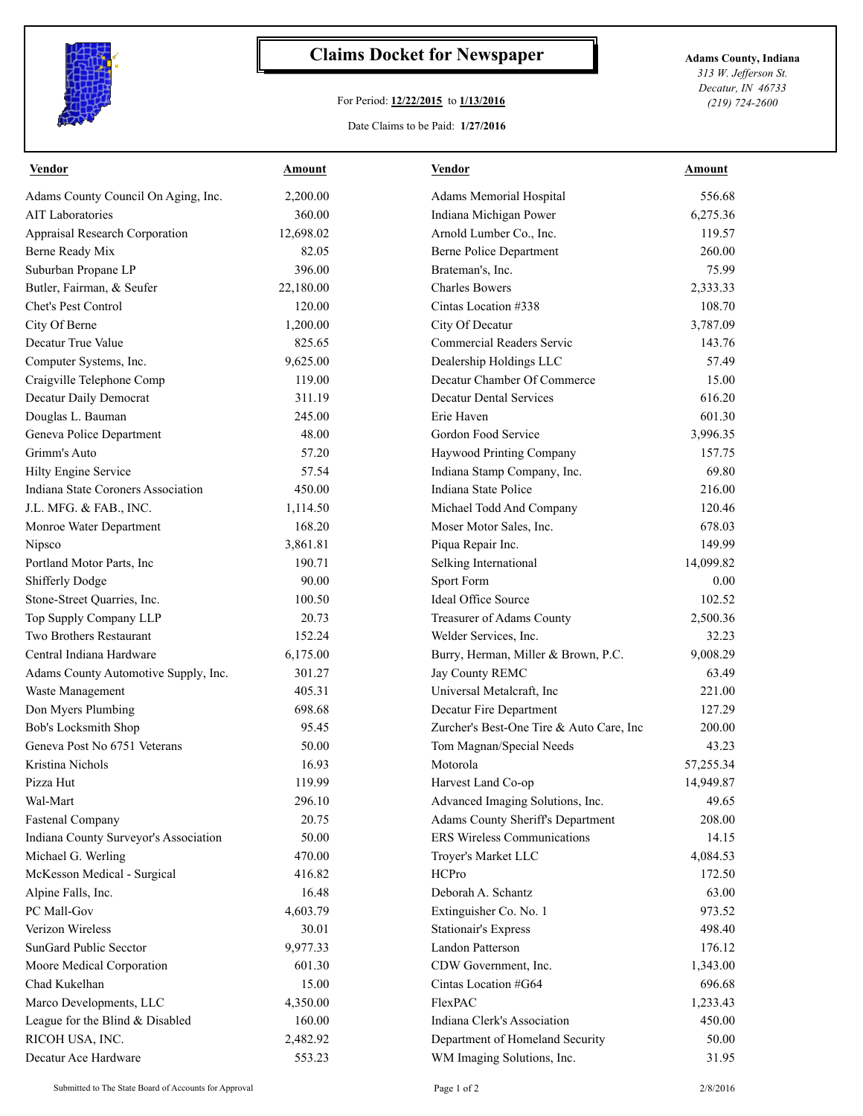

## **Claims Docket for Newspaper Adams County, Indiana**

## For Period: **12/22/2015** to **1/13/2016**

*313 W. Jefferson St. Decatur, IN 46733 (219) 724-2600*

## Date Claims to be Paid: **1/27/2016**

| Vendor                                | Amount    | <b>Vendor</b>                            | Amount    |
|---------------------------------------|-----------|------------------------------------------|-----------|
| Adams County Council On Aging, Inc.   | 2,200.00  | Adams Memorial Hospital                  | 556.68    |
| <b>AIT</b> Laboratories               | 360.00    | Indiana Michigan Power                   | 6,275.36  |
| Appraisal Research Corporation        | 12,698.02 | Arnold Lumber Co., Inc.                  | 119.57    |
| Berne Ready Mix                       | 82.05     | <b>Berne Police Department</b>           | 260.00    |
| Suburban Propane LP                   | 396.00    | Brateman's, Inc.                         | 75.99     |
| Butler, Fairman, & Seufer             | 22,180.00 | <b>Charles Bowers</b>                    | 2,333.33  |
| Chet's Pest Control                   | 120.00    | Cintas Location #338                     | 108.70    |
| City Of Berne                         | 1,200.00  | City Of Decatur                          | 3,787.09  |
| Decatur True Value                    | 825.65    | Commercial Readers Servic                | 143.76    |
| Computer Systems, Inc.                | 9,625.00  | Dealership Holdings LLC                  | 57.49     |
| Craigville Telephone Comp             | 119.00    | Decatur Chamber Of Commerce              | 15.00     |
| Decatur Daily Democrat                | 311.19    | <b>Decatur Dental Services</b>           | 616.20    |
| Douglas L. Bauman                     | 245.00    | Erie Haven                               | 601.30    |
| Geneva Police Department              | 48.00     | Gordon Food Service                      | 3,996.35  |
| Grimm's Auto                          | 57.20     | Haywood Printing Company                 | 157.75    |
| Hilty Engine Service                  | 57.54     | Indiana Stamp Company, Inc.              | 69.80     |
| Indiana State Coroners Association    | 450.00    | Indiana State Police                     | 216.00    |
| J.L. MFG. & FAB., INC.                | 1,114.50  | Michael Todd And Company                 | 120.46    |
| Monroe Water Department               | 168.20    | Moser Motor Sales, Inc.                  | 678.03    |
| Nipsco                                | 3,861.81  | Piqua Repair Inc.                        | 149.99    |
| Portland Motor Parts, Inc             | 190.71    | Selking International                    | 14,099.82 |
| Shifferly Dodge                       | 90.00     | Sport Form                               | 0.00      |
| Stone-Street Quarries, Inc.           | 100.50    | <b>Ideal Office Source</b>               | 102.52    |
| Top Supply Company LLP                | 20.73     | Treasurer of Adams County                | 2,500.36  |
| Two Brothers Restaurant               | 152.24    | Welder Services, Inc.                    | 32.23     |
| Central Indiana Hardware              | 6,175.00  | Burry, Herman, Miller & Brown, P.C.      | 9,008.29  |
| Adams County Automotive Supply, Inc.  | 301.27    | Jay County REMC                          | 63.49     |
| Waste Management                      | 405.31    | Universal Metalcraft, Inc                | 221.00    |
| Don Myers Plumbing                    | 698.68    | Decatur Fire Department                  | 127.29    |
| Bob's Locksmith Shop                  | 95.45     | Zurcher's Best-One Tire & Auto Care, Inc | 200.00    |
| Geneva Post No 6751 Veterans          | 50.00     | Tom Magnan/Special Needs                 | 43.23     |
| Kristina Nichols                      | 16.93     | Motorola                                 | 57,255.34 |
| Pizza Hut                             | 119.99    | Harvest Land Co-op                       | 14,949.87 |
| Wal-Mart                              | 296.10    | Advanced Imaging Solutions, Inc.         | 49.65     |
| <b>Fastenal Company</b>               | 20.75     | Adams County Sheriff's Department        | 208.00    |
| Indiana County Surveyor's Association | 50.00     | ERS Wireless Communications              | 14.15     |
| Michael G. Werling                    | 470.00    | Troyer's Market LLC                      | 4,084.53  |
| McKesson Medical - Surgical           | 416.82    | HCPro                                    | 172.50    |
| Alpine Falls, Inc.                    | 16.48     | Deborah A. Schantz                       | 63.00     |
| PC Mall-Gov                           | 4,603.79  | Extinguisher Co. No. 1                   | 973.52    |
| Verizon Wireless                      | 30.01     | <b>Stationair's Express</b>              | 498.40    |
| SunGard Public Secctor                | 9,977.33  | <b>Landon Patterson</b>                  | 176.12    |
| Moore Medical Corporation             | 601.30    | CDW Government, Inc.                     | 1,343.00  |
| Chad Kukelhan                         | 15.00     | Cintas Location #G64                     | 696.68    |
| Marco Developments, LLC               | 4,350.00  | FlexPAC                                  | 1,233.43  |
| League for the Blind & Disabled       | 160.00    | Indiana Clerk's Association              | 450.00    |
| RICOH USA, INC.                       | 2,482.92  | Department of Homeland Security          | 50.00     |
| Decatur Ace Hardware                  | 553.23    | WM Imaging Solutions, Inc.               | 31.95     |
|                                       |           |                                          |           |